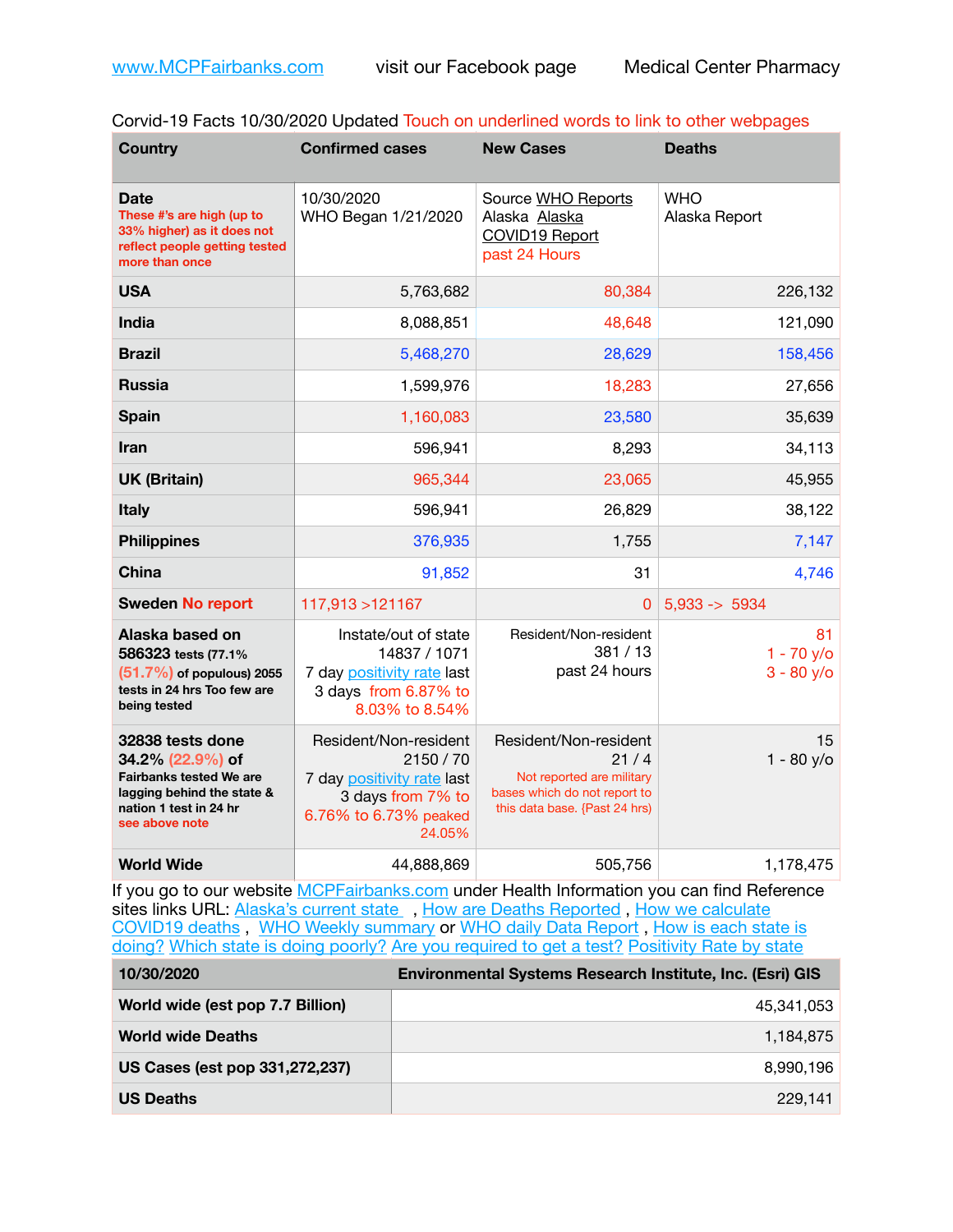|  | Corvid-19 Facts 10/30/2020 Updated Touch on underlined words to link to other webpages |  |
|--|----------------------------------------------------------------------------------------|--|
|--|----------------------------------------------------------------------------------------|--|

| <b>Country</b>                                                                                                                                   | <b>Confirmed cases</b>                                                                                                   | <b>New Cases</b>                                                                                                            | <b>Deaths</b>                      |
|--------------------------------------------------------------------------------------------------------------------------------------------------|--------------------------------------------------------------------------------------------------------------------------|-----------------------------------------------------------------------------------------------------------------------------|------------------------------------|
| Date<br>These #'s are high (up to<br>33% higher) as it does not<br>reflect people getting tested<br>more than once                               | 10/30/2020<br>WHO Began 1/21/2020                                                                                        | Source WHO Reports<br>Alaska Alaska<br><b>COVID19 Report</b><br>past 24 Hours                                               | <b>WHO</b><br>Alaska Report        |
| <b>USA</b>                                                                                                                                       | 5,763,682                                                                                                                | 80,384                                                                                                                      | 226,132                            |
| <b>India</b>                                                                                                                                     | 8,088,851                                                                                                                | 48,648                                                                                                                      | 121,090                            |
| <b>Brazil</b>                                                                                                                                    | 5,468,270                                                                                                                | 28,629                                                                                                                      | 158,456                            |
| <b>Russia</b>                                                                                                                                    | 1,599,976                                                                                                                | 18,283                                                                                                                      | 27,656                             |
| <b>Spain</b>                                                                                                                                     | 1,160,083                                                                                                                | 23,580                                                                                                                      | 35,639                             |
| <b>Iran</b>                                                                                                                                      | 596,941                                                                                                                  | 8,293                                                                                                                       | 34,113                             |
| <b>UK (Britain)</b>                                                                                                                              | 965,344                                                                                                                  | 23,065                                                                                                                      | 45,955                             |
| <b>Italy</b>                                                                                                                                     | 596,941                                                                                                                  | 26,829                                                                                                                      | 38,122                             |
| <b>Philippines</b>                                                                                                                               | 376,935                                                                                                                  | 1,755                                                                                                                       | 7,147                              |
| <b>China</b>                                                                                                                                     | 91,852                                                                                                                   | 31                                                                                                                          | 4,746                              |
| <b>Sweden No report</b>                                                                                                                          | 117,913 > 121167                                                                                                         | 0                                                                                                                           | $5,933 - 5934$                     |
| Alaska based on<br>586323 tests (77.1%<br>$(51.7%)$ of populous) 2055<br>tests in 24 hrs Too few are<br>being tested                             | Instate/out of state<br>14837 / 1071<br>7 day positivity rate last<br>3 days from 6.87% to<br>8.03% to 8.54%             | Resident/Non-resident<br>381/13<br>past 24 hours                                                                            | 81<br>$1 - 70$ y/o<br>$3 - 80$ y/o |
| 32838 tests done<br>34.2% (22.9%) of<br><b>Fairbanks tested We are</b><br>lagging behind the state &<br>nation 1 test in 24 hr<br>see above note | Resident/Non-resident<br>2150 / 70<br>7 day positivity rate last<br>3 days from 7% to<br>6.76% to 6.73% peaked<br>24.05% | Resident/Non-resident<br>21/4<br>Not reported are military<br>bases which do not report to<br>this data base. {Past 24 hrs) | 15<br>$1 - 80$ y/o                 |
| <b>World Wide</b>                                                                                                                                | 44,888,869                                                                                                               | 505,756                                                                                                                     | 1,178,475                          |

If you go to our website **[MCPFairbanks.com](http://www.MCPFairbanks.com)** under Health Information you can find Reference sites links URL: [Alaska's current state](https://coronavirus-response-alaska-dhss.hub.arcgis.com) , How are Deaths Reported, How we calculate [COVID19 deaths](https://coronavirus-response-alaska-dhss.hub.arcgis.com/search?collection=Document&groupIds=41ccb3344ebc4bd682c74073eba21f42) , [WHO Weekly summary](http://www.who.int) or [WHO daily Data Report](https://covid19.who.int/table) , [How is each state is](https://www.msn.com/en-us/news/us/state-by-state-coronavirus-news/ar-BB13E1PX?fbclid=IwAR0_OBJH7lSyTN3ug_MsOeFnNgB1orTa9OBgilKJ7dhnwlVvHEsptuKkj1c)  [doing?](https://www.msn.com/en-us/news/us/state-by-state-coronavirus-news/ar-BB13E1PX?fbclid=IwAR0_OBJH7lSyTN3ug_MsOeFnNgB1orTa9OBgilKJ7dhnwlVvHEsptuKkj1c) [Which state is doing poorly?](https://bestlifeonline.com/covid-outbreak-your-state/?utm_source=nsltr&utm_medium=email&utm_content=covid-outbreak-your-state&utm_campaign=launch) [Are you required to get a test?](http://dhss.alaska.gov/dph/Epi/id/SiteAssets/Pages/HumanCoV/Whattodoafteryourtest.pdf) [Positivity Rate by state](https://coronavirus.jhu.edu/testing/individual-states/alaska)

| 10/30/2020                       | <b>Environmental Systems Research Institute, Inc. (Esri) GIS</b> |  |
|----------------------------------|------------------------------------------------------------------|--|
| World wide (est pop 7.7 Billion) | 45,341,053                                                       |  |
| <b>World wide Deaths</b>         | 1,184,875                                                        |  |
| US Cases (est pop 331,272,237)   | 8,990,196                                                        |  |
| <b>US Deaths</b>                 | 229.141                                                          |  |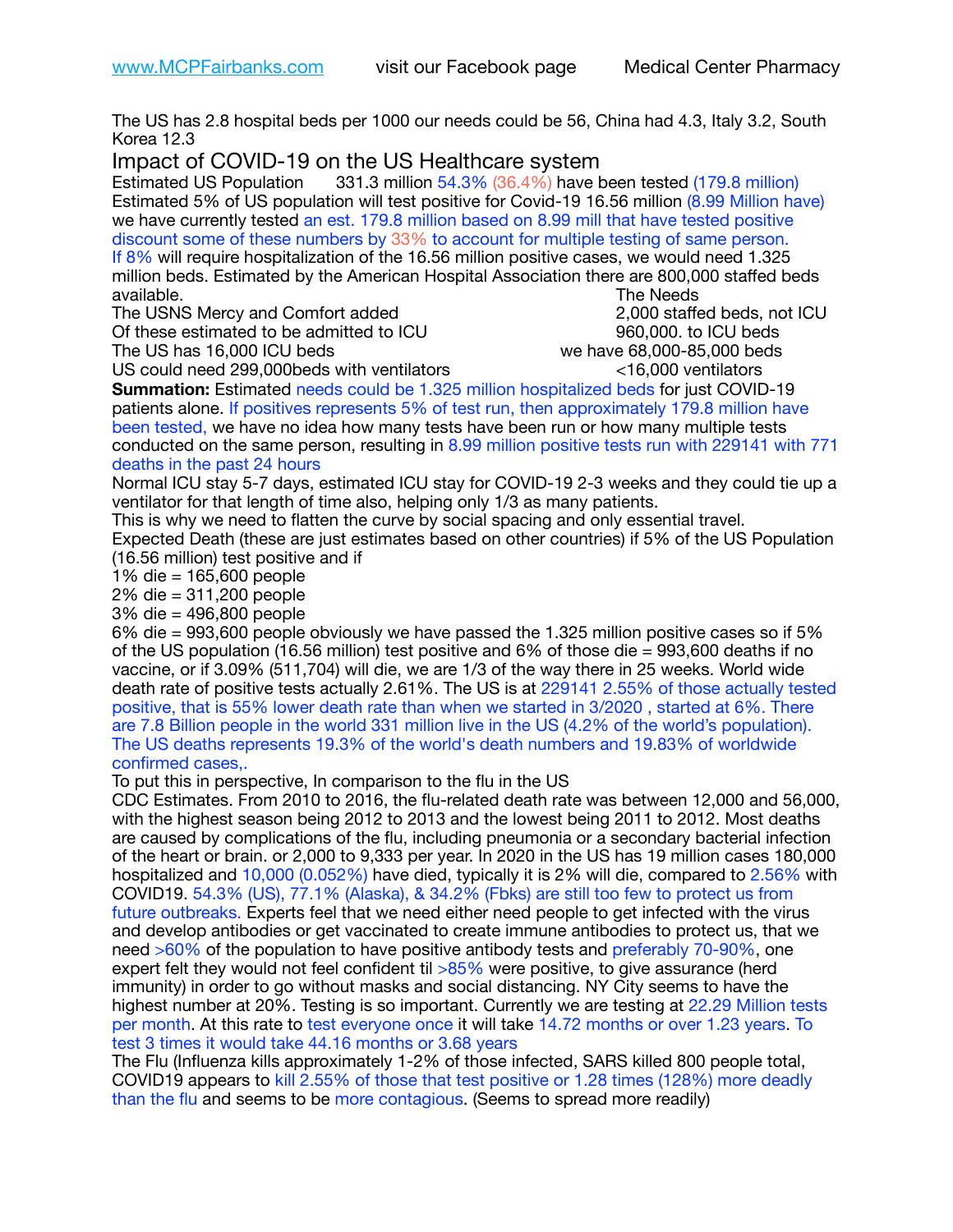The US has 2.8 hospital beds per 1000 our needs could be 56, China had 4.3, Italy 3.2, South Korea 12.3

Impact of COVID-19 on the US Healthcare system<br>Estimated US Population 331.3 million 54.3% (36.4%) have t

331.3 million 54.3% (36.4%) have been tested (179.8 million) Estimated 5% of US population will test positive for Covid-19 16.56 million (8.99 Million have) we have currently tested an est. 179.8 million based on 8.99 mill that have tested positive discount some of these numbers by 33% to account for multiple testing of same person. If 8% will require hospitalization of the 16.56 million positive cases, we would need 1.325 million beds. Estimated by the American Hospital Association there are 800,000 staffed beds available. **The Needs Contract Contract Contract Contract Contract Contract Contract Contract Contract Contract Contract Contract Contract Contract Contract Contract Contract Contract Contract Contract Contract Contract** 

The USNS Mercy and Comfort added 2,000 staffed beds, not ICU Of these estimated to be admitted to ICU **860,000**. to ICU beds

The US has  $16,000$  ICU beds  $\sim$   $\sim$   $\sim$   $\sim$   $\sim$  we have 68,000-85,000 beds

US could need 299,000beds with ventilators <16,000 ventilators

**Summation:** Estimated needs could be 1.325 million hospitalized beds for just COVID-19 patients alone. If positives represents 5% of test run, then approximately 179.8 million have been tested, we have no idea how many tests have been run or how many multiple tests conducted on the same person, resulting in 8.99 million positive tests run with 229141 with 771 deaths in the past 24 hours

Normal ICU stay 5-7 days, estimated ICU stay for COVID-19 2-3 weeks and they could tie up a ventilator for that length of time also, helping only 1/3 as many patients.

This is why we need to flatten the curve by social spacing and only essential travel.

Expected Death (these are just estimates based on other countries) if 5% of the US Population (16.56 million) test positive and if

1% die = 165,600 people

2% die = 311,200 people

3% die = 496,800 people

6% die = 993,600 people obviously we have passed the 1.325 million positive cases so if 5% of the US population (16.56 million) test positive and 6% of those die = 993,600 deaths if no vaccine, or if 3.09% (511,704) will die, we are 1/3 of the way there in 25 weeks. World wide death rate of positive tests actually 2.61%. The US is at 229141 2.55% of those actually tested positive, that is 55% lower death rate than when we started in 3/2020 , started at 6%. There are 7.8 Billion people in the world 331 million live in the US (4.2% of the world's population). The US deaths represents 19.3% of the world's death numbers and 19.83% of worldwide confirmed cases,.

To put this in perspective, In comparison to the flu in the US

CDC Estimates. From 2010 to 2016, the flu-related death rate was between 12,000 and 56,000, with the highest season being 2012 to 2013 and the lowest being 2011 to 2012. Most deaths are caused by complications of the flu, including pneumonia or a secondary bacterial infection of the heart or brain. or 2,000 to 9,333 per year. In 2020 in the US has 19 million cases 180,000 hospitalized and 10,000 (0.052%) have died, typically it is 2% will die, compared to 2.56% with COVID19. 54.3% (US), 77.1% (Alaska), & 34.2% (Fbks) are still too few to protect us from future outbreaks. Experts feel that we need either need people to get infected with the virus and develop antibodies or get vaccinated to create immune antibodies to protect us, that we need >60% of the population to have positive antibody tests and preferably 70-90%, one expert felt they would not feel confident til >85% were positive, to give assurance (herd immunity) in order to go without masks and social distancing. NY City seems to have the highest number at 20%. Testing is so important. Currently we are testing at 22.29 Million tests per month. At this rate to test everyone once it will take 14.72 months or over 1.23 years. To test 3 times it would take 44.16 months or 3.68 years

The Flu (Influenza kills approximately 1-2% of those infected, SARS killed 800 people total, COVID19 appears to kill 2.55% of those that test positive or 1.28 times (128%) more deadly than the flu and seems to be more contagious. (Seems to spread more readily)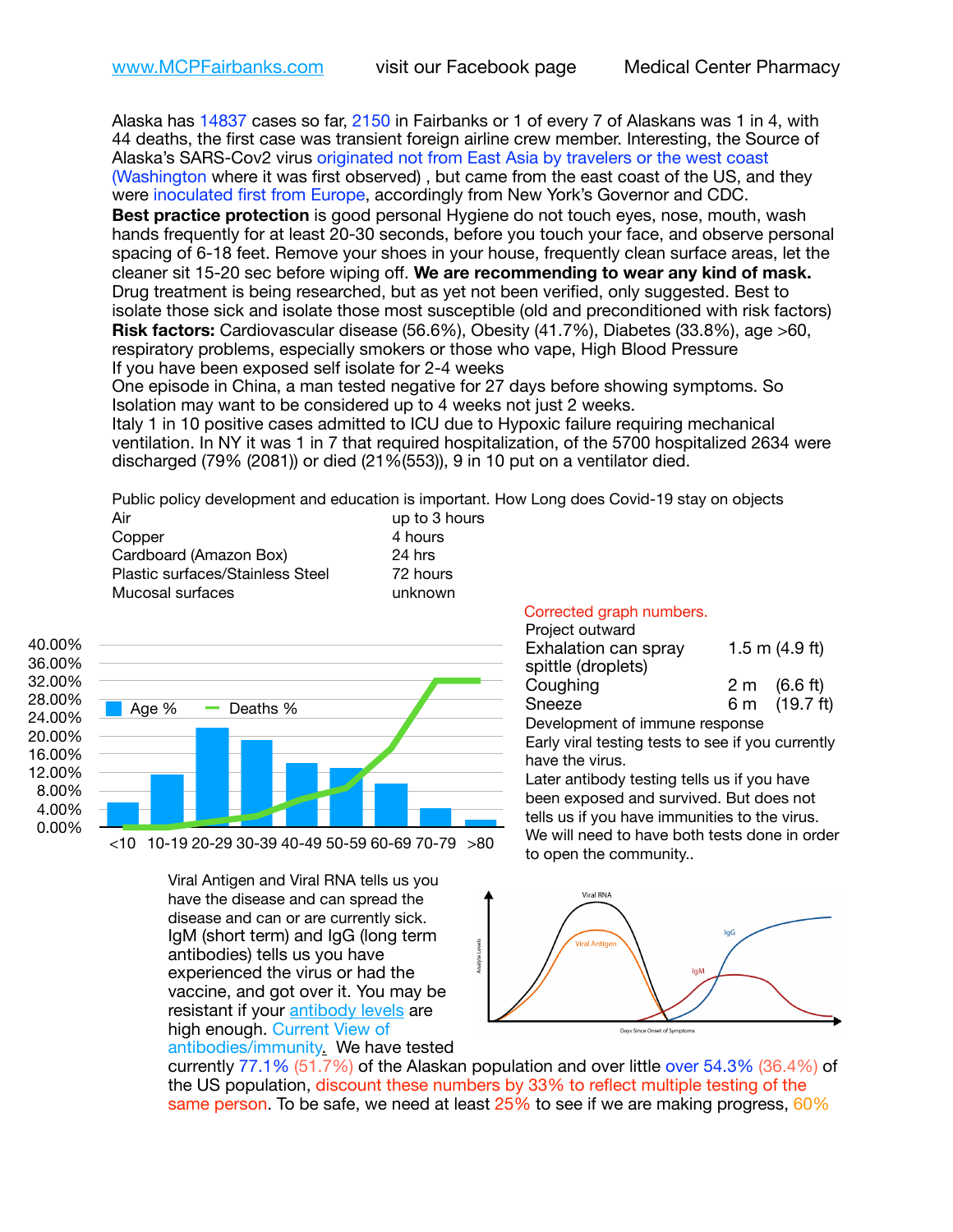Alaska has 14837 cases so far, 2150 in Fairbanks or 1 of every 7 of Alaskans was 1 in 4, with 44 deaths, the first case was transient foreign airline crew member. Interesting, the Source of Alaska's SARS-Cov2 virus originated not from East Asia by travelers or the west coast (Washington where it was first observed) , but came from the east coast of the US, and they were inoculated first from Europe, accordingly from New York's Governor and CDC.

**Best practice protection** is good personal Hygiene do not touch eyes, nose, mouth, wash hands frequently for at least 20-30 seconds, before you touch your face, and observe personal spacing of 6-18 feet. Remove your shoes in your house, frequently clean surface areas, let the cleaner sit 15-20 sec before wiping off. **We are recommending to wear any kind of mask.** Drug treatment is being researched, but as yet not been verified, only suggested. Best to isolate those sick and isolate those most susceptible (old and preconditioned with risk factors) **Risk factors:** Cardiovascular disease (56.6%), Obesity (41.7%), Diabetes (33.8%), age >60, respiratory problems, especially smokers or those who vape, High Blood Pressure If you have been exposed self isolate for 2-4 weeks

One episode in China, a man tested negative for 27 days before showing symptoms. So Isolation may want to be considered up to 4 weeks not just 2 weeks.

Italy 1 in 10 positive cases admitted to ICU due to Hypoxic failure requiring mechanical ventilation. In NY it was 1 in 7 that required hospitalization, of the 5700 hospitalized 2634 were discharged (79% (2081)) or died (21%(553)), 9 in 10 put on a ventilator died.

Public policy development and education is important. How Long does Covid-19 stay on objects to 3 hours

| Air                              | up to 3 ho |
|----------------------------------|------------|
| Copper                           | 4 hours    |
| Cardboard (Amazon Box)           | 24 hrs     |
| Plastic surfaces/Stainless Steel | 72 hours   |
| Mucosal surfaces                 | unknown    |



<10 10-19 20-29 30-39 40-49 50-59 60-69 70-79 >80

Viral Antigen and Viral RNA tells us you have the disease and can spread the disease and can or are currently sick. IgM (short term) and IgG (long term antibodies) tells us you have experienced the virus or had the vaccine, and got over it. You may be resistant if your [antibody levels](https://www.cdc.gov/coronavirus/2019-ncov/lab/resources/antibody-tests.html) are high enough. Current View of antibodies/immunit[y.](https://www.itv.com/news/2020-10-26/covid-19-antibody-levels-reduce-over-time-study-finds) We have tested Corrected graph numbers.

| Project outward      |                  |                        |
|----------------------|------------------|------------------------|
| Exhalation can spray | 1.5 m $(4.9$ ft) |                        |
| spittle (droplets)   |                  |                        |
| Coughing             |                  | $2 \text{ m}$ (6.6 ft) |
| Sneeze               |                  | 6 m (19.7 ft)          |

Development of immune response

Early viral testing tests to see if you currently have the virus.

Later antibody testing tells us if you have been exposed and survived. But does not tells us if you have immunities to the virus. We will need to have both tests done in order to open the community..



currently 77.1% (51.7%) of the Alaskan population and over little over 54.3% (36.4%) of the US population, discount these numbers by 33% to reflect multiple testing of the same person. To be safe, we need at least 25% to see if we are making progress, 60%